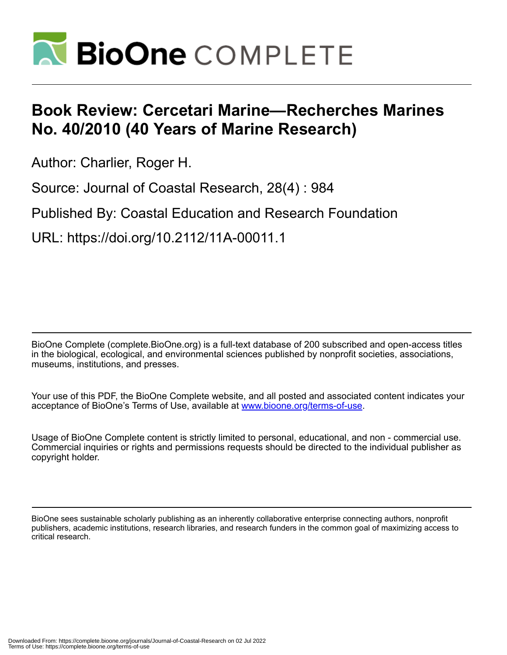

## **Book Review: Cercetari Marine—Recherches Marines No. 40/2010 (40 Years of Marine Research)**

Author: Charlier, Roger H.

Source: Journal of Coastal Research, 28(4) : 984

Published By: Coastal Education and Research Foundation

URL: https://doi.org/10.2112/11A-00011.1

BioOne Complete (complete.BioOne.org) is a full-text database of 200 subscribed and open-access titles in the biological, ecological, and environmental sciences published by nonprofit societies, associations, museums, institutions, and presses.

Your use of this PDF, the BioOne Complete website, and all posted and associated content indicates your acceptance of BioOne's Terms of Use, available at www.bioone.org/terms-of-use.

Usage of BioOne Complete content is strictly limited to personal, educational, and non - commercial use. Commercial inquiries or rights and permissions requests should be directed to the individual publisher as copyright holder.

BioOne sees sustainable scholarly publishing as an inherently collaborative enterprise connecting authors, nonprofit publishers, academic institutions, research libraries, and research funders in the common goal of maximizing access to critical research.